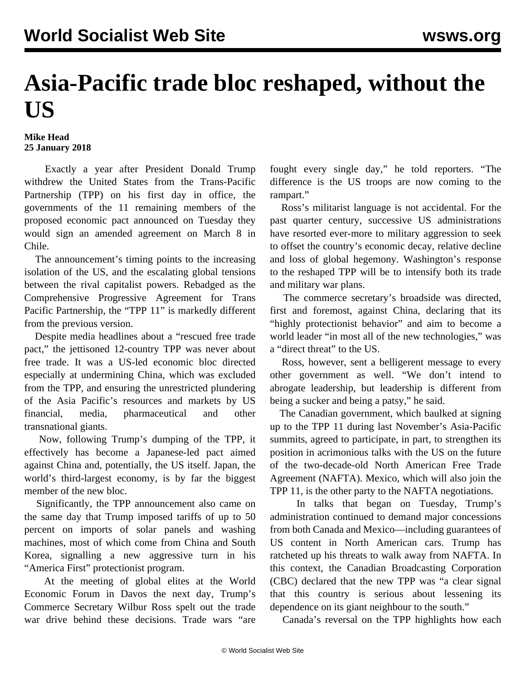## **Asia-Pacific trade bloc reshaped, without the US**

## **Mike Head 25 January 2018**

 Exactly a year after President Donald Trump withdrew the United States from the Trans-Pacific Partnership (TPP) on his first day in office, the governments of the 11 remaining members of the proposed economic pact announced on Tuesday they would sign an amended agreement on March 8 in Chile.

 The announcement's timing points to the increasing isolation of the US, and the escalating global tensions between the rival capitalist powers. Rebadged as the Comprehensive Progressive Agreement for Trans Pacific Partnership, the "TPP 11" is markedly different from the previous version.

 Despite media headlines about a "rescued free trade pact," the jettisoned 12-country TPP was never about free trade. It was a US-led economic bloc directed especially at undermining China, which was excluded from the TPP, and ensuring the unrestricted plundering of the Asia Pacific's resources and markets by US financial, media, pharmaceutical and other transnational giants.

 Now, following Trump's dumping of the TPP, it effectively has become a Japanese-led pact aimed against China and, potentially, the US itself. Japan, the world's third-largest economy, is by far the biggest member of the new bloc.

 Significantly, the TPP announcement also came on the same day that Trump imposed tariffs of up to 50 percent on imports of solar panels and washing machines, most of which come from China and South Korea, signalling a new aggressive turn in his "America First" protectionist program.

 At the meeting of global elites at the World Economic Forum in Davos the next day, Trump's Commerce Secretary Wilbur Ross spelt out the trade war drive behind these decisions. Trade wars "are

fought every single day," he told reporters. "The difference is the US troops are now coming to the rampart."

 Ross's militarist language is not accidental. For the past quarter century, successive US administrations have resorted ever-more to military aggression to seek to offset the country's economic decay, relative decline and loss of global hegemony. Washington's response to the reshaped TPP will be to intensify both its trade and military war plans.

 The commerce secretary's broadside was directed, first and foremost, against China, declaring that its "highly protectionist behavior" and aim to become a world leader "in most all of the new technologies," was a "direct threat" to the US.

 Ross, however, sent a belligerent message to every other government as well. "We don't intend to abrogate leadership, but leadership is different from being a sucker and being a patsy," he said.

 The Canadian government, which baulked at signing up to the TPP 11 during last November's Asia-Pacific summits, agreed to participate, in part, to strengthen its position in acrimonious talks with the US on the future of the two-decade-old North American Free Trade Agreement (NAFTA). Mexico, which will also join the TPP 11, is the other party to the NAFTA negotiations.

 In talks that began on Tuesday, Trump's administration continued to demand major concessions from both Canada and Mexico—including guarantees of US content in North American cars. Trump has ratcheted up his threats to walk away from NAFTA. In this context, the Canadian Broadcasting Corporation (CBC) declared that the new TPP was "a clear signal that this country is serious about lessening its dependence on its giant neighbour to the south."

Canada's reversal on the TPP highlights how each